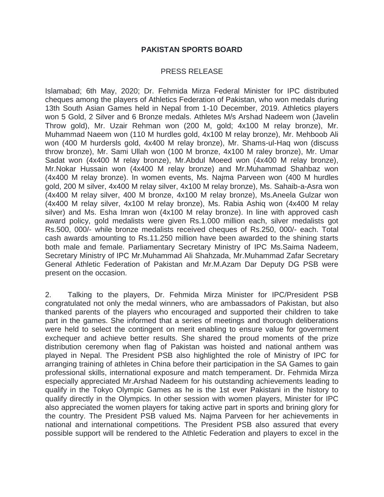## **PAKISTAN SPORTS BOARD**

## PRESS RELEASE

Islamabad; 6th May, 2020; Dr. Fehmida Mirza Federal Minister for IPC distributed cheques among the players of Athletics Federation of Pakistan, who won medals during 13th South Asian Games held in Nepal from 1-10 December, 2019. Athletics players won 5 Gold, 2 Silver and 6 Bronze medals. Athletes M/s Arshad Nadeem won (Javelin Throw gold), Mr. Uzair Rehman won (200 M, gold; 4x100 M relay bronze), Mr. Muhammad Naeem won (110 M hurdles gold, 4x100 M relay bronze), Mr. Mehboob Ali won (400 M hurdersls gold, 4x400 M relay bronze), Mr. Shams-ul-Haq won (discuss throw bronze), Mr. Sami Ullah won (100 M bronze, 4x100 M raley bronze), Mr. Umar Sadat won (4x400 M relay bronze), Mr.Abdul Moeed won (4x400 M relay bronze), Mr.Nokar Hussain won (4x400 M relay bronze) and Mr.Muhammad Shahbaz won (4x400 M relay bronze). In women events, Ms. Najma Parveen won (400 M hurdles gold, 200 M silver, 4x400 M relay silver, 4x100 M relay bronze), Ms. Sahaib-a-Asra won (4x400 M relay silver, 400 M bronze, 4x100 M relay bronze), Ms.Aneela Gulzar won (4x400 M relay silver, 4x100 M relay bronze), Ms. Rabia Ashiq won (4x400 M relay silver) and Ms. Esha Imran won (4x100 M relay bronze). In line with approved cash award policy, gold medalists were given Rs.1.000 million each, silver medalists got Rs.500, 000/- while bronze medalists received cheques of Rs.250, 000/- each. Total cash awards amounting to Rs.11.250 million have been awarded to the shining starts both male and female. Parliamentary Secretary Ministry of IPC Ms.Saima Nadeem, Secretary Ministry of IPC Mr.Muhammad Ali Shahzada, Mr.Muhammad Zafar Secretary General Athletic Federation of Pakistan and Mr.M.Azam Dar Deputy DG PSB were present on the occasion.

2. Talking to the players, Dr. Fehmida Mirza Minister for IPC/President PSB congratulated not only the medal winners, who are ambassadors of Pakistan, but also thanked parents of the players who encouraged and supported their children to take part in the games. She informed that a series of meetings and thorough deliberations were held to select the contingent on merit enabling to ensure value for government exchequer and achieve better results. She shared the proud moments of the prize distribution ceremony when flag of Pakistan was hoisted and national anthem was played in Nepal. The President PSB also highlighted the role of Ministry of IPC for arranging training of athletes in China before their participation in the SA Games to gain professional skills, international exposure and match temperament. Dr. Fehmida Mirza especially appreciated Mr.Arshad Nadeem for his outstanding achievements leading to qualify in the Tokyo Olympic Games as he is the 1st ever Pakistani in the history to qualify directly in the Olympics. In other session with women players, Minister for IPC also appreciated the women players for taking active part in sports and brining glory for the country. The President PSB valued Ms. Najma Parveen for her achievements in national and international competitions. The President PSB also assured that every possible support will be rendered to the Athletic Federation and players to excel in the